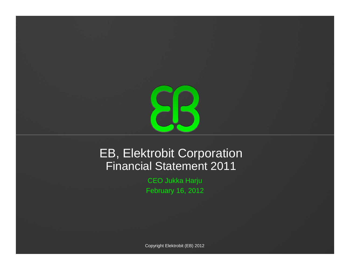

## EB, Elektrobit CorporationFinancial Statement 2011

CEO Jukka Harju February 16, 2012

Copyright Elektrobit (EB) 2012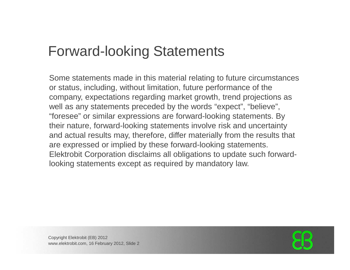## Forward-looking Statements

Some statements made in this material relating to future circumstances or status, including, without limitation, future performance of the company, expectations regarding market growth, trend projections as well as any statements preceded by the words "expect", "believe", "foresee" or similar expressions are forward-looking statements. By their nature, forward-looking statements involve risk and uncertainty and actual results may, therefore, differ materially from the results that are expressed or implied by these forward-looking statements. Elektrobit Corporation disclaims all obligations to update such forwardlooking statements except as required by mandatory law.

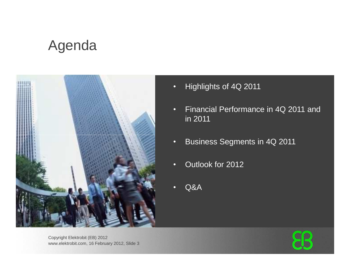## Agenda



- •Highlights of 4Q 2011
- • Financial Performance in 4Q 2011 and in 2011
- •Business Segments in 4Q 2011
- •Outlook for 2012
- •Q&A

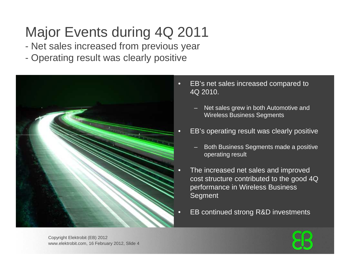# Major Events during 4Q 2011

- $\mathcal{L}_{\mathcal{A}}$ Net sales increased from previous year
- $\mathcal{L}_{\mathcal{A}}$ Operating result was clearly positive



- EB's net sales increased compared to 4Q 2010.
	- Net sales grew in both Automotive and Wireless Business Segments
- EB's operating result was clearly positive
	- Both Business Segments made a positive operating result
- The increased net sales and improved cost structure contributed to the good 4Q performance in Wireless Business **Segment**
- EB continued strong R&D investments

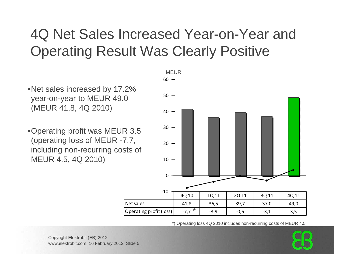# 4Q Net Sales Increased Year-on-Year andOperating Result Was Clearly Positive

•Net sales increased by 17.2% year-on-year to MEUR 49.0 (MEUR 41.8, 4Q 2010)

•Operating profit was MEUR 3.5 (operating loss of MEUR -7.7, including non-recurring costs of MEUR 4.5, 4Q 2010)



\*) Operating loss 4Q 2010 includes non-recurring costs of MEUR 4.5

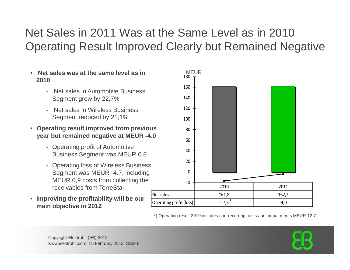## Net Sales in 2011 Was at the Same Level as in 2010 Operating Result Improved Clearly but Remained Negative

- •**Net sales was at the same level as in The MEUR 2010**
	- Net sales in Automotive Business Segment grew by 22,7%
	- Net sales in Wireless Business Segment reduced by 21,1%
- **Operating result improved from previous year but remained negative at MEUR -4.0** 
	- Operating profit of Automotive Business Segment was MEUR 0.8
	- Operating loss of Wireless Business Segment was MEUR -4.7, including MEUR 0,9 costs from collecting the receivables from TerreStar.
- **Improving the profitability will be our main objective in 2012**



\*) Operating result 2010 includes non-recurring costs and impairments MEUR 12.7

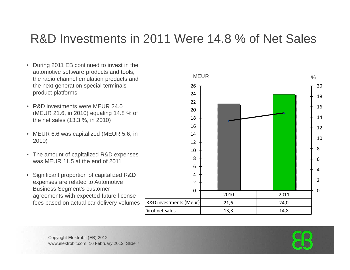## R&D Investments in 2011 Were 14.8 % of Net Sales

- During 2011 EB continued to invest in the automotive software products and tools, the radio channel emulation products and the next generation special terminals product platforms
- R&D investments were MEUR 24.0 (MEUR 21.6, in 2010) equaling 14.8 % of the net sales (13.3 %, in 2010)
- MEUR 6.6 was capitalized (MEUR 5.6, in 2010)
- The amount of capitalized R&D expenses was MEUR 11.5 at the end of 2011
- $\bullet$  Significant proportion of capitalized R&D expenses are related to Automotive Business Segment's customer agreements with expected future license fees based on actual car delivery volumes



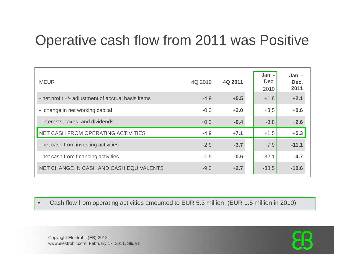## Operative cash flow from 2011 was Positive

| <b>MEUR</b>                                        | 4Q 2010 | 4Q 2011 | Jan. -<br>Dec.<br>2010 | Jan. -<br>Dec.<br>2011 |
|----------------------------------------------------|---------|---------|------------------------|------------------------|
| - net profit +/- adjustment of accrual basis items | $-4.9$  | $+5.5$  | $+1.8$                 | $+2.1$                 |
| - change in net working capital                    | $-0.3$  | $+2.0$  | $+3.5$                 | $+0.6$                 |
| - interests, taxes, and dividends                  | $+0.3$  | $-0.4$  | $-3.8$                 | $+2.6$                 |
| NET CASH FROM OPERATING ACTIVITIES                 | $-4.9$  | $+7.1$  | $+1.5$                 | $+5.3$                 |
| - net cash from investing activities               | $-2.9$  | $-3.7$  | $-7.9$                 | $-11.1$                |
| - net cash from financing activities               | $-1.5$  | $-0.6$  | $-32.1$                | $-4.7$                 |
| NET CHANGE IN CASH AND CASH EQUIVALENTS            | $-9.3$  | $+2.7$  | $-38.5$                | $-10.6$                |

•Cash flow from operating activities amounted to EUR 5.3 million (EUR 1.5 million in 2010).

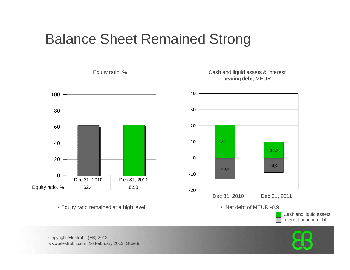## Balance Sheet Remained Strong



Equity ratio, % Cash and liquid assets & interest bearing debt, MEUR



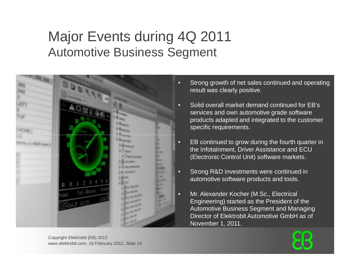## Major Events during 4Q 2011Automotive Business Segment



- Strong growth of net sales continued and operatingresult was clearly positive.
- Solid overall market demand continued for EB's services and own automotive grade software products adapted and integrated to the customer specific requirements.
- EB continued to grow during the fourth quarter in the Infotainment, Driver Assistance and ECU (Electronic Control Unit) software markets.
- Strong R&D investments were continued in automotive software products and tools.
- Mr. Alexander Kocher (M.Sc., Electrical Engineering) started as the President of the Automotive Business Segment and Managing Director of Elektrobit Automotive GmbH as of November 1, 2011.

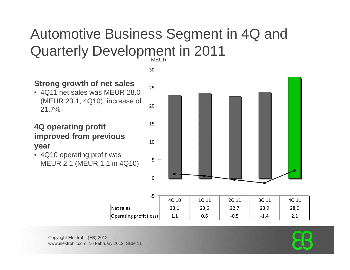### Automotive Business Segment in 4Q and Quarterly Development in 2011MEUR<sub>b</sub>

### **Strong growth of net sales**

 • 4Q11 net sales was MEUR 28.0 (MEUR 23.1, 4Q10), increase of 21.7%

#### **4Q operating profit improved from previous year**

 • 4Q10 operating profit was MEUR 2.1 (MEUR 1.1 in 4Q10)



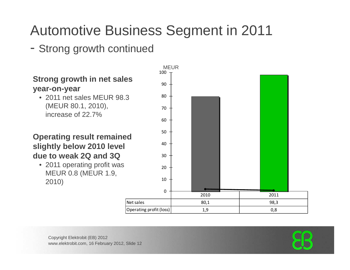# Automotive Business Segment in 2011

## - Strong growth continued

### **Strong growth in net sales year-on-year**

 • 2011 net sales MEUR 98.3 (MEUR 80.1, 2010), increase of 22.7%

#### **Operating result remained slightly below 2010 level due to weak 2Q and 3Q**

 • 2011 operating profit was MEUR 0.8 (MEUR 1.9, 2010)



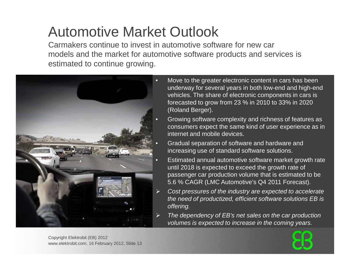# Automotive Market Outlook

 Carmakers continue to invest in automotive software for new car models and the market for automotive software products and services is estimated to continue growing.



- Move to the greater electronic content in cars has been underway for several years in both low-end and high-end vehicles. The share of electronic components in cars is forecasted to grow from 23 % in 2010 to 33% in 2020(Roland Berger).
- Growing software complexity and richness of features as consumers expect the same kind of user experience as in internet and mobile devices.
- Gradual separation of software and hardware and increasing use of standard software solutions.
- Estimated annual automotive software market growth rate until 2018 is expected to exceed the growth rate of passenger car production volume that is estimated to be 5.6 % CAGR (LMC Automotive's Q4 2011 Forecast).
- Cost pressures of the industry are expected to accelerate the need of productized, efficient software solutions EB is offering.
- The dependency of EB's net sales on the car production volumes is expected to increase in the coming years.

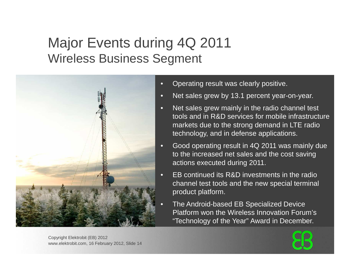## Major Events during 4Q 2011Wireless Business Segment



- •Operating result was clearly positive.
- •Net sales grew by 13.1 percent year-on-year.
- • Net sales grew mainly in the radio channel test tools and in R&D services for mobile infrastructuremarkets due to the strong demand in LTE radio technology, and in defense applications.
- • Good operating result in 4Q 2011 was mainly due to the increased net sales and the cost saving actions executed during 2011.
- EB continued its R&D investments in the radio channel test tools and the new special terminal product platform.
- The Android-based EB Specialized Device Platform won the Wireless Innovation Forum's "Technology of the Year" Award in December.

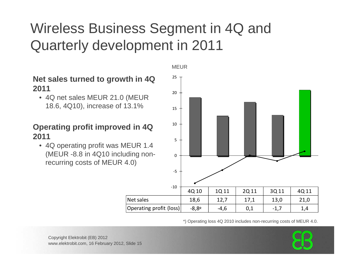# Wireless Business Segment in 4Q and Quarterly development in 2011

MEUR

#### **Net sales turned to growth in 4Q 2011**

 • 4Q net sales MEUR 21.0 (MEUR 18.6, 4Q10), increase of 13.1%

#### **Operating profit improved in 4Q 2011**

 • 4Q operating profit was MEUR 1.4 (MEUR -8.8 in 4Q10 including nonrecurring costs of MEUR 4.0)



\*) Operating loss 4Q 2010 includes non-recurring costs of MEUR 4.0.

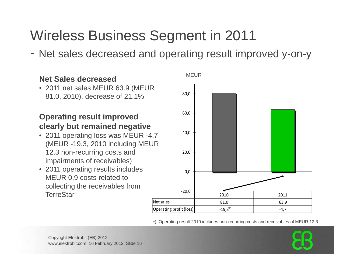# Wireless Business Segment in 2011

- Net sales decreased and operating result improved y-on-y

#### **Net Sales decreased**

 • 2011 net sales MEUR 63.9 (MEUR 81.0, 2010), decrease of 21.1%

#### **Operating result improved clearly but remained negative**

- 2011 operating loss was MEUR -4.7  $40,0$ (MEUR -19.3, 2010 including MEUR 12.3 non-recurring costs and impairments of receivables)
- 2011 operating results includes MEUR 0,9 costs related to collecting the receivables from **TerreStar**



\*) Operating result 2010 includes non-recurring costs and receivables of MEUR 12.3

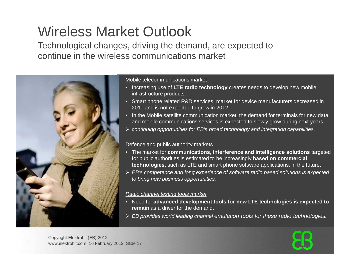# Wireless Market Outlook

 Technological changes, driving the demand, are expected to continue in the wireless communications market



#### Mobile telecommunications market

- Increasing use of **LTE radio technology** creates needs to develop new mobile infrastructure products.
- Smart phone related R&D services market for device manufacturers decreased in 2011 and is not expected to grow in 2012.
- In the Mobile satellite communication market, the demand for terminals for new data and mobile communications services is expected to slowly grow during next years.
- continuing opportunities for EB's broad technology and integration capabilities.

#### Defence and public authority markets

- The market for **communications, interference and intelligence solutions** targeted for public authorities is estimated to be increasingly **based on commercial technologies,** such as LTE and smart phone software applications, in the future.
- EB's competence and long experience of software radio based solutions is expected to bring new business opportunities.

#### Radio channel testing tools market

- Need for **advanced development tools for new LTE technologies is expected to remain** as a driver for the demand**.**
- EB provides world leading channel emulation tools for these radio technologies**.**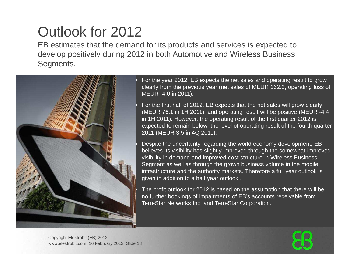# Outlook for 2012

 EB estimates that the demand for its products and services is expected to develop positively during 2012 in both Automotive and Wireless Business Segments.



• For the year 2012, EB expects the net sales and operating result to grow clearly from the previous year (net sales of MEUR 162.2, operating loss of MEUR -4.0 in 2011).

 For the first half of 2012, EB expects that the net sales will grow clearly (MEUR 76.1 in 1H 2011), and operating result will be positive (MEUR -4.4 in 1H 2011). However, the operating result of the first quarter 2012 is expected to remain below the level of operating result of the fourth quarter 2011 (MEUR 3.5 in 4Q 2011).

 Despite the uncertainty regarding the world economy development, EB believes its visibility has slightly improved through the somewhat improved visibility in demand and improved cost structure in Wireless Business Segment as well as through the grown business volume in the mobile infrastructure and the authority markets. Therefore a full year outlook is given in addition to a half year outlook .

 The profit outlook for 2012 is based on the assumption that there will be no further bookings of impairments of EB's accounts receivable from TerreStar Networks Inc. and TerreStar Corporation.

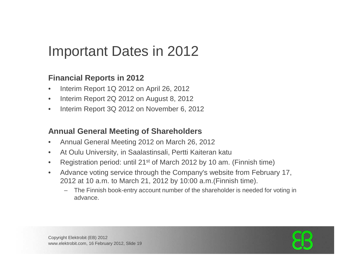# Important Dates in 2012

#### **Financial Reports in 2012**

- $\bullet$ Interim Report 1Q 2012 on April 26, 2012
- Interim Report 2Q 2012 on August 8, 2012 $\bullet$
- $\bullet$ Interim Report 3Q 2012 on November 6, 2012

#### **Annual General Meeting of Shareholders**

- $\bullet$ Annual General Meeting 2012 on March 26, 2012
- $\bullet$ At Oulu University, in Saalastinsali, Pertti Kaiteran katu
- $\bullet$ Registration period: until 21st of March 2012 by 10 am. (Finnish time)
- $\bullet$  Advance voting service through the Company's website from February 17, 2012 at 10 a.m. to March 21, 2012 by 10:00 a.m.(Finnish time).
	- The Finnish book-entry account number of the shareholder is needed for voting in advance.

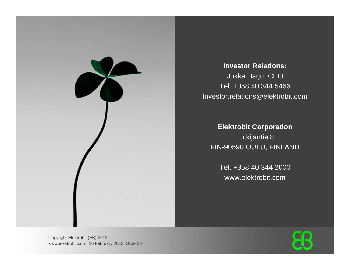

**Investor Relations:**Jukka Harju, CEO Tel. +358 40 344 5466 Investor.relations@elektrobit.com

> **Elektrobit Corporation**Tutkijantie 8FIN-90590 OULU, FINLAND

Tel. +358 40 344 2000www.elektrobit.com